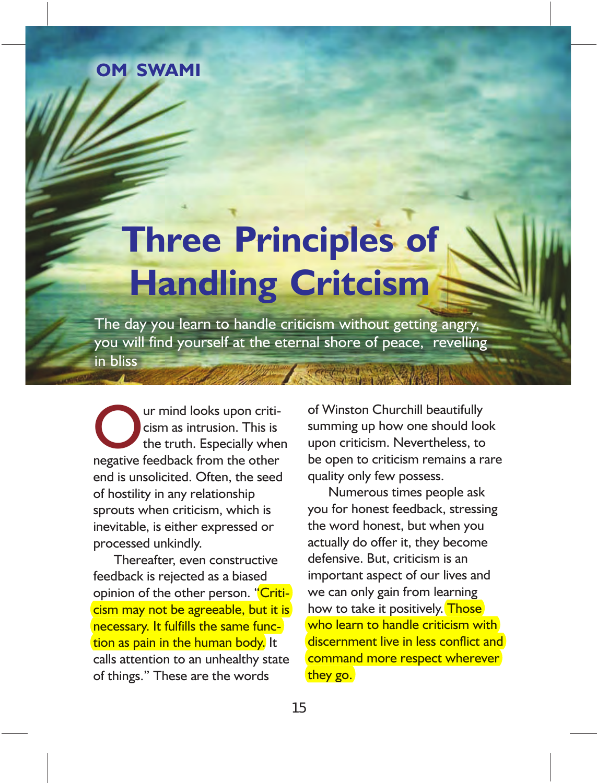#### **TATTVÍ II Om Swami**

# **Three Principles of Handling Critcism**

The day you learn to handle criticism without getting angry, you will find yourself at the eternal shore of peace, revelling in bliss

Our mind looks upon critically when<br>the truth. Especially when<br>nogative foodback from the other cism as intrusion. This is negative feedback from the other end is unsolicited. Often, the seed of hostility in any relationship sprouts when criticism, which is inevitable, is either expressed or processed unkindly.

Thereafter, even constructive feedback is rejected as a biased opinion of the other person. "Criticism may not be agreeable, but it is necessary. It fulfills the same function as pain in the human body. It calls attention to an unhealthy state of things." These are the words

of Winston Churchill beautifully summing up how one should look upon criticism. Nevertheless, to be open to criticism remains a rare quality only few possess.

Numerous times people ask you for honest feedback, stressing the word honest, but when you actually do offer it, they become defensive. But, criticism is an important aspect of our lives and we can only gain from learning how to take it positively. Those who learn to handle criticism with discernment live in less conflict and command more respect wherever they go.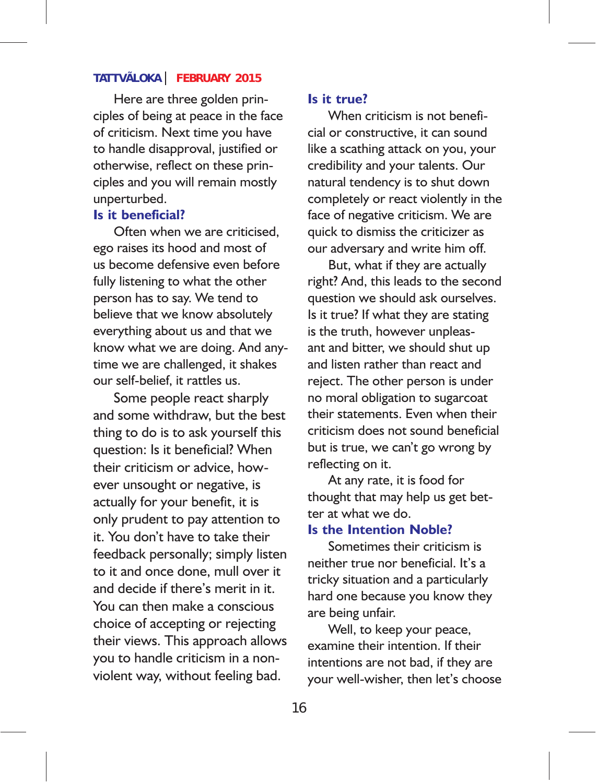### **TATTVÃLOKA FEBRUARY 2015**

Here are three golden principles of being at peace in the face of criticism. Next time you have to handle disapproval, justified or otherwise, reflect on these principles and you will remain mostly unperturbed.

#### **Is it beneficial?**

Often when we are criticised, ego raises its hood and most of us become defensive even before fully listening to what the other person has to say. We tend to believe that we know absolutely everything about us and that we know what we are doing. And anytime we are challenged, it shakes our self-belief, it rattles us.

Some people react sharply and some withdraw, but the best thing to do is to ask yourself this question: Is it beneficial? When their criticism or advice, however unsought or negative, is actually for your benefit, it is only prudent to pay attention to it. You don't have to take their feedback personally; simply listen to it and once done, mull over it and decide if there's merit in it. You can then make a conscious choice of accepting or rejecting their views. This approach allows you to handle criticism in a nonviolent way, without feeling bad.

#### **Is it true?**

When criticism is not beneficial or constructive, it can sound like a scathing attack on you, your credibility and your talents. Our natural tendency is to shut down completely or react violently in the face of negative criticism. We are quick to dismiss the criticizer as our adversary and write him off.

But, what if they are actually right? And, this leads to the second question we should ask ourselves. Is it true? If what they are stating is the truth, however unpleasant and bitter, we should shut up and listen rather than react and reject. The other person is under no moral obligation to sugarcoat their statements. Even when their criticism does not sound beneficial but is true, we can't go wrong by reflecting on it.

At any rate, it is food for thought that may help us get better at what we do.

### **Is the Intention Noble?**

Sometimes their criticism is neither true nor beneficial. It's a tricky situation and a particularly hard one because you know they are being unfair.

Well, to keep your peace, examine their intention. If their intentions are not bad, if they are your well-wisher, then let's choose